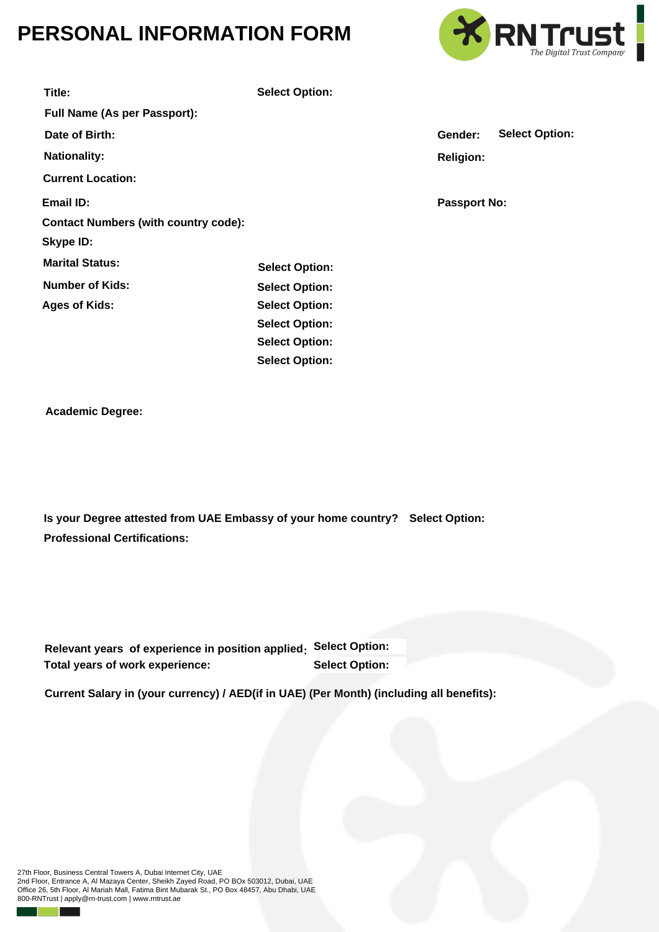## **PERSONAL INFORMATION FORM**



| Title:                                                                        | <b>Select Option:</b> |                       |                     |                       |
|-------------------------------------------------------------------------------|-----------------------|-----------------------|---------------------|-----------------------|
| Full Name (As per Passport):                                                  |                       |                       |                     |                       |
| Date of Birth:                                                                |                       |                       | Gender:             | <b>Select Option:</b> |
| <b>Nationality:</b>                                                           |                       |                       | <b>Religion:</b>    |                       |
| <b>Current Location:</b>                                                      |                       |                       |                     |                       |
| Email ID:                                                                     |                       |                       | <b>Passport No:</b> |                       |
| <b>Contact Numbers (with country code):</b>                                   |                       |                       |                     |                       |
| <b>Skype ID:</b>                                                              |                       |                       |                     |                       |
| <b>Marital Status:</b>                                                        | <b>Select Option:</b> |                       |                     |                       |
| <b>Number of Kids:</b>                                                        | <b>Select Option:</b> |                       |                     |                       |
| <b>Ages of Kids:</b>                                                          | <b>Select Option:</b> |                       |                     |                       |
|                                                                               | <b>Select Option:</b> |                       |                     |                       |
|                                                                               | <b>Select Option:</b> |                       |                     |                       |
|                                                                               | <b>Select Option:</b> |                       |                     |                       |
|                                                                               |                       |                       |                     |                       |
| <b>Academic Degree:</b>                                                       |                       |                       |                     |                       |
|                                                                               |                       |                       |                     |                       |
|                                                                               |                       |                       |                     |                       |
|                                                                               |                       |                       |                     |                       |
|                                                                               |                       |                       |                     |                       |
| Is your Degree attested from UAE Embassy of your home country? Select Option: |                       |                       |                     |                       |
| <b>Professional Certifications:</b>                                           |                       |                       |                     |                       |
|                                                                               |                       |                       |                     |                       |
|                                                                               |                       |                       |                     |                       |
|                                                                               |                       |                       |                     |                       |
|                                                                               |                       |                       |                     |                       |
| Relevant years of experience in position applied:                             |                       | <b>Select Option:</b> |                     |                       |
| Total years of work experience:                                               |                       | <b>Select Option:</b> |                     |                       |

**Current Salary in (your currency) / AED(if in UAE) (Per Month) (including all benefits):**

27th Floor, Business Central Towers A, Dubai Internet City, UAE 2nd Floor, Entrance A, Al Mazaya Center, Sheikh Zayed Road, PO BOx 503012, Dubai, UAE Office 26, 5th Floor, Al Mariah Mall, Fatima Bint Mubarak St., PO Box 48457, Abu Dhabi, UAE 800-RNTrust | apply@rn-trust.com | www.rntrust.ae